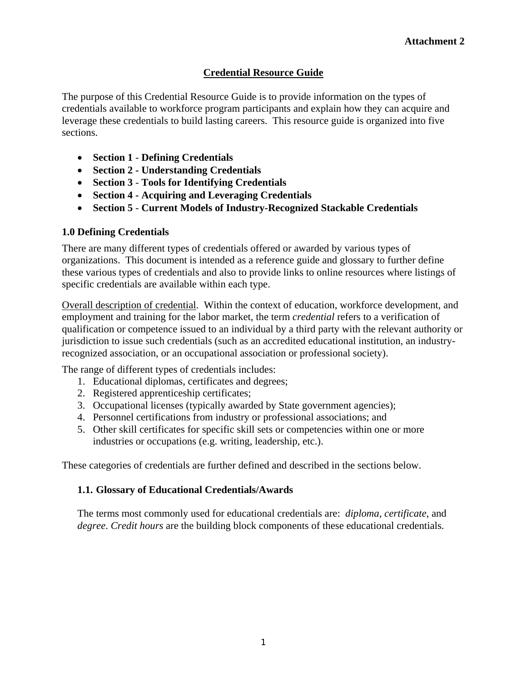## **Credential Resource Guide**

The purpose of this Credential Resource Guide is to provide information on the types of credentials available to workforce program participants and explain how they can acquire and leverage these credentials to build lasting careers. This resource guide is organized into five sections.

- **Section 1 Defining Credentials**
- **Section 2 Understanding Credentials**
- **Section 3 Tools for Identifying Credentials**
- **Section 4 Acquiring and Leveraging Credentials**
- **Section 5 Current Models of Industry-Recognized Stackable Credentials**

## **1.0 Defining Credentials**

There are many different types of credentials offered or awarded by various types of organizations. This document is intended as a reference guide and glossary to further define these various types of credentials and also to provide links to online resources where listings of specific credentials are available within each type.

Overall description of credential. Within the context of education, workforce development, and employment and training for the labor market, the term *credential* refers to a verification of qualification or competence issued to an individual by a third party with the relevant authority or jurisdiction to issue such credentials (such as an accredited educational institution, an industryrecognized association, or an occupational association or professional society).

The range of different types of credentials includes:

- 1. Educational diplomas, certificates and degrees;
- 2. Registered apprenticeship certificates;
- 3. Occupational licenses (typically awarded by State government agencies);
- 4. Personnel certifications from industry or professional associations; and
- 5. Other skill certificates for specific skill sets or competencies within one or more industries or occupations (e.g. writing, leadership, etc.).

These categories of credentials are further defined and described in the sections below.

### **1.1. Glossary of Educational Credentials/Awards**

The terms most commonly used for educational credentials are: *diploma*, *certificate*, and *degree*. *Credit hours* are the building block components of these educational credentials.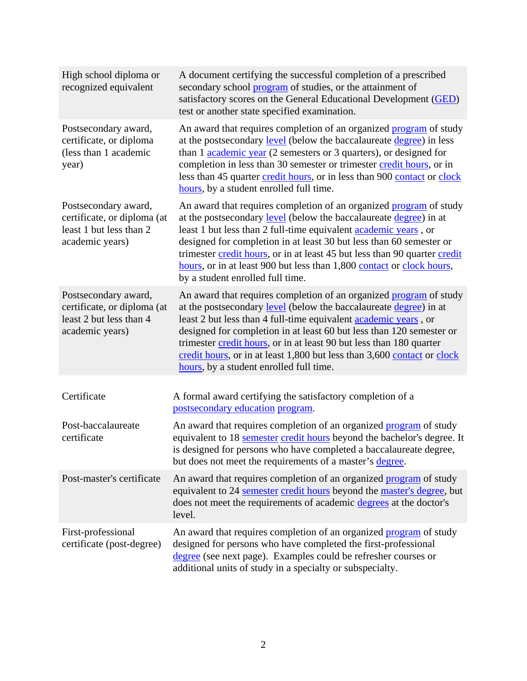| High school diploma or<br>recognized equivalent                                                   | A document certifying the successful completion of a prescribed<br>secondary school program of studies, or the attainment of<br>satisfactory scores on the General Educational Development (GED)<br>test or another state specified examination.                                                                                                                                                                                                                                           |
|---------------------------------------------------------------------------------------------------|--------------------------------------------------------------------------------------------------------------------------------------------------------------------------------------------------------------------------------------------------------------------------------------------------------------------------------------------------------------------------------------------------------------------------------------------------------------------------------------------|
| Postsecondary award,<br>certificate, or diploma<br>(less than 1 academic<br>year)                 | An award that requires completion of an organized program of study<br>at the postsecondary level (below the baccalaureate degree) in less<br>than 1 academic year (2 semesters or 3 quarters), or designed for<br>completion in less than 30 semester or trimester credit hours, or in<br>less than 45 quarter credit hours, or in less than 900 contact or clock<br>hours, by a student enrolled full time.                                                                               |
| Postsecondary award,<br>certificate, or diploma (at<br>least 1 but less than 2<br>academic years) | An award that requires completion of an organized <b>program</b> of study<br>at the postsecondary level (below the baccalaureate degree) in at<br>least 1 but less than 2 full-time equivalent <b>academic years</b> , or<br>designed for completion in at least 30 but less than 60 semester or<br>trimester credit hours, or in at least 45 but less than 90 quarter credit<br>hours, or in at least 900 but less than 1,800 contact or clock hours,<br>by a student enrolled full time. |
| Postsecondary award,<br>certificate, or diploma (at<br>least 2 but less than 4<br>academic years) | An award that requires completion of an organized program of study<br>at the postsecondary level (below the baccalaureate degree) in at<br>least 2 but less than 4 full-time equivalent <b>academic</b> years, or<br>designed for completion in at least 60 but less than 120 semester or<br>trimester credit hours, or in at least 90 but less than 180 quarter<br>credit hours, or in at least 1,800 but less than 3,600 contact or clock<br>hours, by a student enrolled full time.     |
| Certificate                                                                                       | A formal award certifying the satisfactory completion of a<br>postsecondary education program.                                                                                                                                                                                                                                                                                                                                                                                             |
| Post-baccalaureate<br>certificate                                                                 | An award that requires completion of an organized program of study<br>equivalent to 18 semester credit hours beyond the bachelor's degree. It<br>is designed for persons who have completed a baccalaureate degree,<br>but does not meet the requirements of a master's degree.                                                                                                                                                                                                            |
| Post-master's certificate                                                                         | An award that requires completion of an organized program of study<br>equivalent to 24 semester credit hours beyond the master's degree, but<br>does not meet the requirements of academic degrees at the doctor's<br>level.                                                                                                                                                                                                                                                               |
| First-professional<br>certificate (post-degree)                                                   | An award that requires completion of an organized program of study<br>designed for persons who have completed the first-professional<br>degree (see next page). Examples could be refresher courses or<br>additional units of study in a specialty or subspecialty.                                                                                                                                                                                                                        |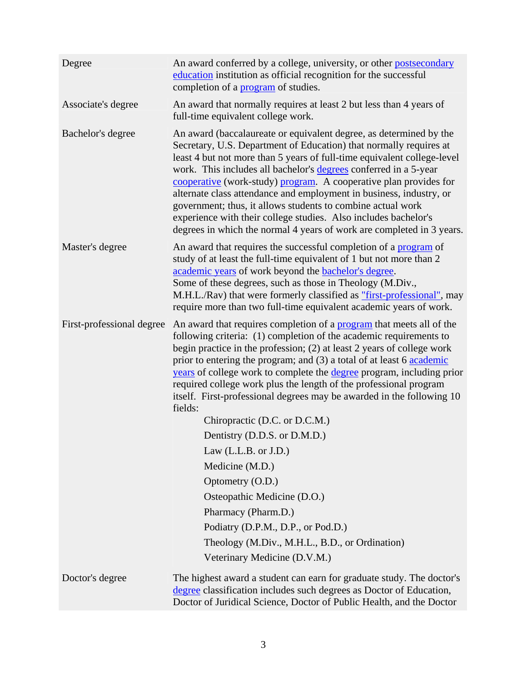| Degree                    | An award conferred by a college, university, or other postsecondary<br>education institution as official recognition for the successful<br>completion of a <b>program</b> of studies.                                                                                                                                                                                                                                                                                                                                                                                                                                                                                                                                                                         |
|---------------------------|---------------------------------------------------------------------------------------------------------------------------------------------------------------------------------------------------------------------------------------------------------------------------------------------------------------------------------------------------------------------------------------------------------------------------------------------------------------------------------------------------------------------------------------------------------------------------------------------------------------------------------------------------------------------------------------------------------------------------------------------------------------|
| Associate's degree        | An award that normally requires at least 2 but less than 4 years of<br>full-time equivalent college work.                                                                                                                                                                                                                                                                                                                                                                                                                                                                                                                                                                                                                                                     |
| Bachelor's degree         | An award (baccalaureate or equivalent degree, as determined by the<br>Secretary, U.S. Department of Education) that normally requires at<br>least 4 but not more than 5 years of full-time equivalent college-level<br>work. This includes all bachelor's degrees conferred in a 5-year<br>cooperative (work-study) program. A cooperative plan provides for<br>alternate class attendance and employment in business, industry, or<br>government; thus, it allows students to combine actual work<br>experience with their college studies. Also includes bachelor's<br>degrees in which the normal 4 years of work are completed in 3 years.                                                                                                                |
| Master's degree           | An award that requires the successful completion of a program of<br>study of at least the full-time equivalent of 1 but not more than 2<br>academic years of work beyond the <b>bachelor's</b> degree.<br>Some of these degrees, such as those in Theology (M.Div.,<br>M.H.L./Rav) that were formerly classified as "first-professional", may<br>require more than two full-time equivalent academic years of work.                                                                                                                                                                                                                                                                                                                                           |
| First-professional degree | An award that requires completion of a program that meets all of the<br>following criteria: (1) completion of the academic requirements to<br>begin practice in the profession; (2) at least 2 years of college work<br>prior to entering the program; and (3) a total of at least 6 academic<br>years of college work to complete the degree program, including prior<br>required college work plus the length of the professional program<br>itself. First-professional degrees may be awarded in the following 10<br>fields:<br>Chiropractic (D.C. or D.C.M.)<br>Dentistry (D.D.S. or D.M.D.)<br>Law $(L.L.B. or J.D.)$<br>Medicine (M.D.)<br>Optometry (O.D.)<br>Osteopathic Medicine (D.O.)<br>Pharmacy (Pharm.D.)<br>Podiatry (D.P.M., D.P., or Pod.D.) |
|                           | Theology (M.Div., M.H.L., B.D., or Ordination)                                                                                                                                                                                                                                                                                                                                                                                                                                                                                                                                                                                                                                                                                                                |
|                           | Veterinary Medicine (D.V.M.)                                                                                                                                                                                                                                                                                                                                                                                                                                                                                                                                                                                                                                                                                                                                  |
| Doctor's degree           | The highest award a student can earn for graduate study. The doctor's<br>degree classification includes such degrees as Doctor of Education,<br>Doctor of Juridical Science, Doctor of Public Health, and the Doctor                                                                                                                                                                                                                                                                                                                                                                                                                                                                                                                                          |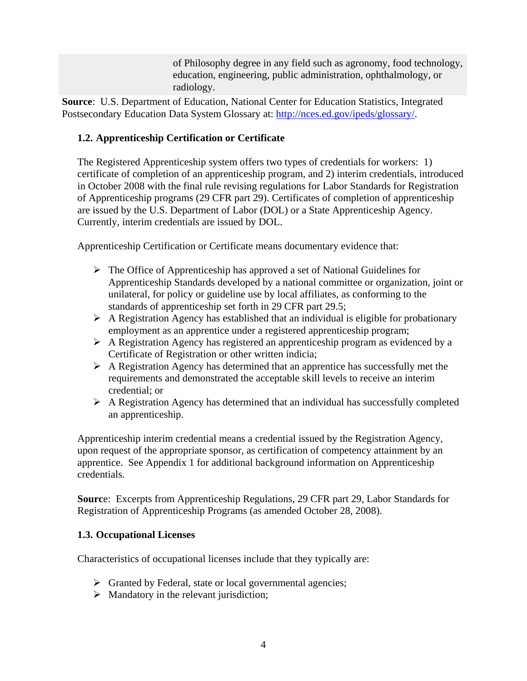of Philosophy degree in any field such as agronomy, food technology, education, engineering, public administration, ophthalmology, or radiology.

**Source**: U.S. Department of Education, National Center for Education Statistics, Integrated Postsecondary Education Data System Glossary at: [http://nces.ed.gov/ipeds/glossary/.](http://nces.ed.gov/ipeds/glossary/)

# **1.2. Apprenticeship Certification or Certificate**

The Registered Apprenticeship system offers two types of credentials for workers: 1) certificate of completion of an apprenticeship program, and 2) interim credentials, introduced in October 2008 with the final rule revising regulations for Labor Standards for Registration of Apprenticeship programs (29 CFR part 29). Certificates of completion of apprenticeship are issued by the U.S. Department of Labor (DOL) or a State Apprenticeship Agency. Currently, interim credentials are issued by DOL.

Apprenticeship Certification or Certificate means documentary evidence that:

- $\triangleright$  The Office of Apprenticeship has approved a set of National Guidelines for Apprenticeship Standards developed by a national committee or organization, joint or unilateral, for policy or guideline use by local affiliates, as conforming to the standards of apprenticeship set forth in 29 CFR part 29.5;
- $\triangleright$  A Registration Agency has established that an individual is eligible for probationary employment as an apprentice under a registered apprenticeship program;
- $\triangleright$  A Registration Agency has registered an apprenticeship program as evidenced by a Certificate of Registration or other written indicia;
- $\triangleright$  A Registration Agency has determined that an apprentice has successfully met the requirements and demonstrated the acceptable skill levels to receive an interim credential; or
- $\triangleright$  A Registration Agency has determined that an individual has successfully completed an apprenticeship.

Apprenticeship interim credential means a credential issued by the Registration Agency, upon request of the appropriate sponsor, as certification of competency attainment by an apprentice. See Appendix 1 for additional background information on Apprenticeship credentials.

**Sourc**e: Excerpts from Apprenticeship Regulations, 29 CFR part 29, Labor Standards for Registration of Apprenticeship Programs (as amended October 28, 2008).

# **1.3. Occupational Licenses**

Characteristics of occupational licenses include that they typically are:

- $\triangleright$  Granted by Federal, state or local governmental agencies;
- $\triangleright$  Mandatory in the relevant jurisdiction;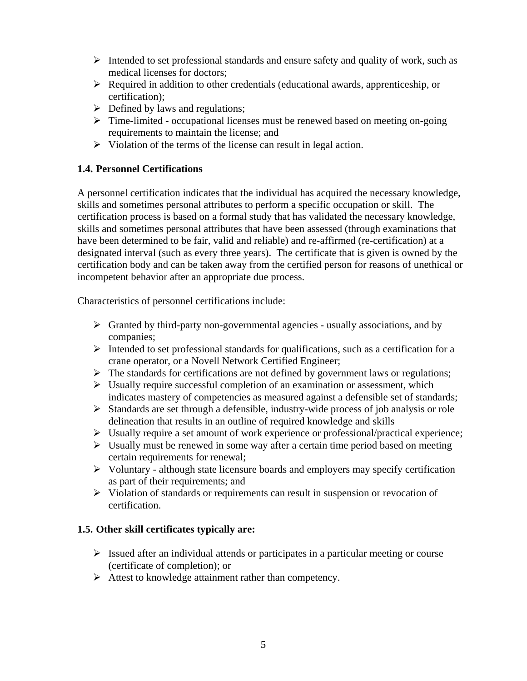- $\triangleright$  Intended to set professional standards and ensure safety and quality of work, such as medical licenses for doctors;
- $\triangleright$  Required in addition to other credentials (educational awards, apprenticeship, or certification);
- $\triangleright$  Defined by laws and regulations;
- > Time-limited occupational licenses must be renewed based on meeting on-going requirements to maintain the license; and
- $\triangleright$  Violation of the terms of the license can result in legal action.

# **1.4. Personnel Certifications**

A personnel certification indicates that the individual has acquired the necessary knowledge, skills and sometimes personal attributes to perform a specific occupation or skill. The certification process is based on a formal study that has validated the necessary knowledge, skills and sometimes personal attributes that have been assessed (through examinations that have been determined to be fair, valid and reliable) and re-affirmed (re-certification) at a designated interval (such as every three years). The certificate that is given is owned by the certification body and can be taken away from the certified person for reasons of unethical or incompetent behavior after an appropriate due process.

Characteristics of personnel certifications include:

- $\triangleright$  Granted by third-party non-governmental agencies usually associations, and by companies;
- $\triangleright$  Intended to set professional standards for qualifications, such as a certification for a crane operator, or a Novell Network Certified Engineer;
- $\triangleright$  The standards for certifications are not defined by government laws or regulations;
- $\triangleright$  Usually require successful completion of an examination or assessment, which indicates mastery of competencies as measured against a defensible set of standards;
- $\triangleright$  Standards are set through a defensible, industry-wide process of job analysis or role delineation that results in an outline of required knowledge and skills
- $\triangleright$  Usually require a set amount of work experience or professional/practical experience;
- $\triangleright$  Usually must be renewed in some way after a certain time period based on meeting certain requirements for renewal;
- $\triangleright$  Voluntary although state licensure boards and employers may specify certification as part of their requirements; and
- $\triangleright$  Violation of standards or requirements can result in suspension or revocation of certification.

# **1.5. Other skill certificates typically are:**

- $\triangleright$  Issued after an individual attends or participates in a particular meeting or course (certificate of completion); or
- $\triangleright$  Attest to knowledge attainment rather than competency.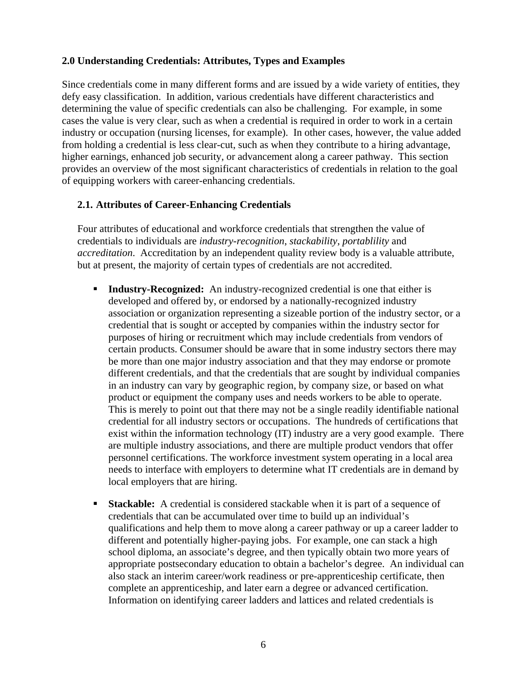#### **2.0 Understanding Credentials: Attributes, Types and Examples**

Since credentials come in many different forms and are issued by a wide variety of entities, they defy easy classification. In addition, various credentials have different characteristics and determining the value of specific credentials can also be challenging. For example, in some cases the value is very clear, such as when a credential is required in order to work in a certain industry or occupation (nursing licenses, for example). In other cases, however, the value added from holding a credential is less clear-cut, such as when they contribute to a hiring advantage, higher earnings, enhanced job security, or advancement along a career pathway. This section provides an overview of the most significant characteristics of credentials in relation to the goal of equipping workers with career-enhancing credentials.

#### **2.1. Attributes of Career-Enhancing Credentials**

Four attributes of educational and workforce credentials that strengthen the value of credentials to individuals are *industry-recognition*, *stackability*, *portablility* and *accreditation*. Accreditation by an independent quality review body is a valuable attribute, but at present, the majority of certain types of credentials are not accredited.

- **Industry-Recognized:** An industry-recognized credential is one that either is developed and offered by, or endorsed by a nationally-recognized industry association or organization representing a sizeable portion of the industry sector, or a credential that is sought or accepted by companies within the industry sector for purposes of hiring or recruitment which may include credentials from vendors of certain products. Consumer should be aware that in some industry sectors there may be more than one major industry association and that they may endorse or promote different credentials, and that the credentials that are sought by individual companies in an industry can vary by geographic region, by company size, or based on what product or equipment the company uses and needs workers to be able to operate. This is merely to point out that there may not be a single readily identifiable national credential for all industry sectors or occupations. The hundreds of certifications that exist within the information technology (IT) industry are a very good example. There are multiple industry associations, and there are multiple product vendors that offer personnel certifications. The workforce investment system operating in a local area needs to interface with employers to determine what IT credentials are in demand by local employers that are hiring.
- **Stackable:** A credential is considered stackable when it is part of a sequence of credentials that can be accumulated over time to build up an individual's qualifications and help them to move along a career pathway or up a career ladder to different and potentially higher-paying jobs. For example, one can stack a high school diploma, an associate's degree, and then typically obtain two more years of appropriate postsecondary education to obtain a bachelor's degree. An individual can also stack an interim career/work readiness or pre-apprenticeship certificate, then complete an apprenticeship, and later earn a degree or advanced certification. Information on identifying career ladders and lattices and related credentials is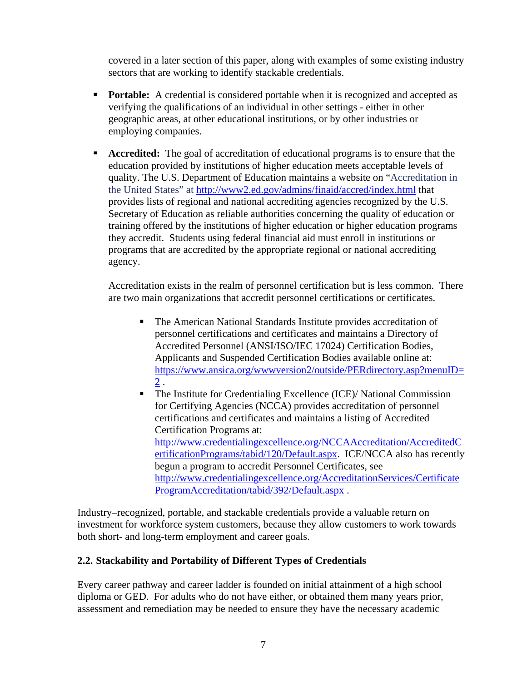covered in a later section of this paper, along with examples of some existing industry sectors that are working to identify stackable credentials.

- **Portable:** A credential is considered portable when it is recognized and accepted as verifying the qualifications of an individual in other settings - either in other geographic areas, at other educational institutions, or by other industries or employing companies.
- **Accredited:** The goal of accreditation of educational programs is to ensure that the education provided by institutions of higher education meets acceptable levels of quality. The U.S. Department of Education maintains a website on "Accreditation in the United States" at <http://www2.ed.gov/admins/finaid/accred/index.html> that provides lists of regional and national accrediting agencies recognized by the U.S. Secretary of Education as reliable authorities concerning the quality of education or training offered by the institutions of higher education or higher education programs they accredit. Students using federal financial aid must enroll in institutions or programs that are accredited by the appropriate regional or national accrediting agency.

Accreditation exists in the realm of personnel certification but is less common. There are two main organizations that accredit personnel certifications or certificates.

- The American National Standards Institute provides accreditation of personnel certifications and certificates and maintains a Directory of Accredited Personnel (ANSI/ISO/IEC 17024) Certification Bodies, Applicants and Suspended Certification Bodies available online at: [https://www.ansica.org/wwwversion2/outside/PERdirectory.asp?menuID=](https://www.ansica.org/wwwversion2/outside/PERdirectory.asp?menuID=2) [2](https://www.ansica.org/wwwversion2/outside/PERdirectory.asp?menuID=2) .
- The Institute for Credentialing Excellence (ICE)/ National Commission for Certifying Agencies (NCCA) provides accreditation of personnel certifications and certificates and maintains a listing of Accredited Certification Programs at: [http://www.credentialingexcellence.org/NCCAAccreditation/AccreditedC](http://www.credentialingexcellence.org/NCCAAccreditation/AccreditedCertificationPrograms/tabid/120/Default.aspx) [ertificationPrograms/tabid/120/Default.aspx.](http://www.credentialingexcellence.org/NCCAAccreditation/AccreditedCertificationPrograms/tabid/120/Default.aspx) ICE/NCCA also has recently begun a program to accredit Personnel Certificates, see [http://www.credentialingexcellence.org/AccreditationServices/Certificate](http://www.credentialingexcellence.org/AccreditationServices/CertificateProgramAccreditation/tabid/392/Default.aspx) [ProgramAccreditation/tabid/392/Default.aspx](http://www.credentialingexcellence.org/AccreditationServices/CertificateProgramAccreditation/tabid/392/Default.aspx) .

Industry–recognized, portable, and stackable credentials provide a valuable return on investment for workforce system customers, because they allow customers to work towards both short- and long-term employment and career goals.

# **2.2. Stackability and Portability of Different Types of Credentials**

Every career pathway and career ladder is founded on initial attainment of a high school diploma or GED. For adults who do not have either, or obtained them many years prior, assessment and remediation may be needed to ensure they have the necessary academic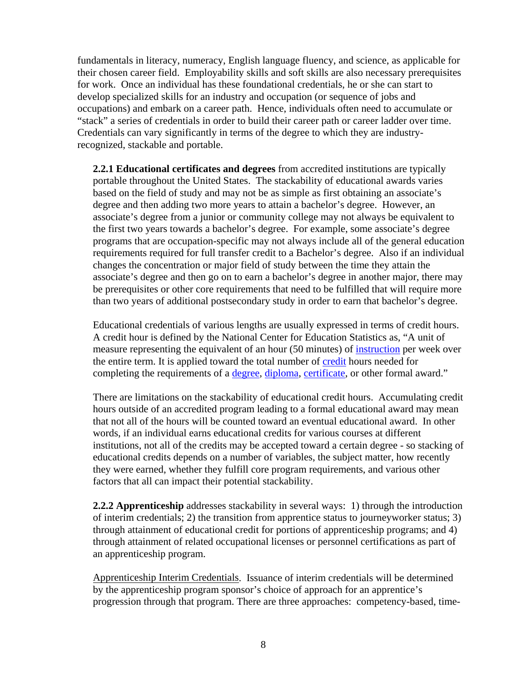fundamentals in literacy, numeracy, English language fluency, and science, as applicable for their chosen career field. Employability skills and soft skills are also necessary prerequisites for work. Once an individual has these foundational credentials, he or she can start to develop specialized skills for an industry and occupation (or sequence of jobs and occupations) and embark on a career path. Hence, individuals often need to accumulate or "stack" a series of credentials in order to build their career path or career ladder over time. Credentials can vary significantly in terms of the degree to which they are industryrecognized, stackable and portable.

**2.2.1 Educational certificates and degrees** from accredited institutions are typically portable throughout the United States. The stackability of educational awards varies based on the field of study and may not be as simple as first obtaining an associate's degree and then adding two more years to attain a bachelor's degree. However, an associate's degree from a junior or community college may not always be equivalent to the first two years towards a bachelor's degree. For example, some associate's degree programs that are occupation-specific may not always include all of the general education requirements required for full transfer credit to a Bachelor's degree. Also if an individual changes the concentration or major field of study between the time they attain the associate's degree and then go on to earn a bachelor's degree in another major, there may be prerequisites or other core requirements that need to be fulfilled that will require more than two years of additional postsecondary study in order to earn that bachelor's degree.

Educational credentials of various lengths are usually expressed in terms of credit hours. A credit hour is defined by the National Center for Education Statistics as, "A unit of measure representing the equivalent of an hour (50 minutes) of [instruction](http://nces.ed.gov/ipeds/glossary/index.asp?id=337) per week over the entire term. It is applied toward the total number of [credit](http://nces.ed.gov/ipeds/glossary/index.asp?id=151) hours needed for completing the requirements of a <u>[degree,](http://nces.ed.gov/ipeds/glossary/index.asp?id=169) [diploma](http://nces.ed.gov/ipeds/glossary/index.asp?id=177), [certificate](http://nces.ed.gov/ipeds/glossary/index.asp?id=105)</u>, or other formal award."

There are limitations on the stackability of educational credit hours. Accumulating credit hours outside of an accredited program leading to a formal educational award may mean that not all of the hours will be counted toward an eventual educational award. In other words, if an individual earns educational credits for various courses at different institutions, not all of the credits may be accepted toward a certain degree - so stacking of educational credits depends on a number of variables, the subject matter, how recently they were earned, whether they fulfill core program requirements, and various other factors that all can impact their potential stackability.

**2.2.2 Apprenticeship** addresses stackability in several ways: 1) through the introduction of interim credentials; 2) the transition from apprentice status to journeyworker status; 3) through attainment of educational credit for portions of apprenticeship programs; and 4) through attainment of related occupational licenses or personnel certifications as part of an apprenticeship program.

Apprenticeship Interim Credentials. Issuance of interim credentials will be determined by the apprenticeship program sponsor's choice of approach for an apprentice's progression through that program. There are three approaches: competency-based, time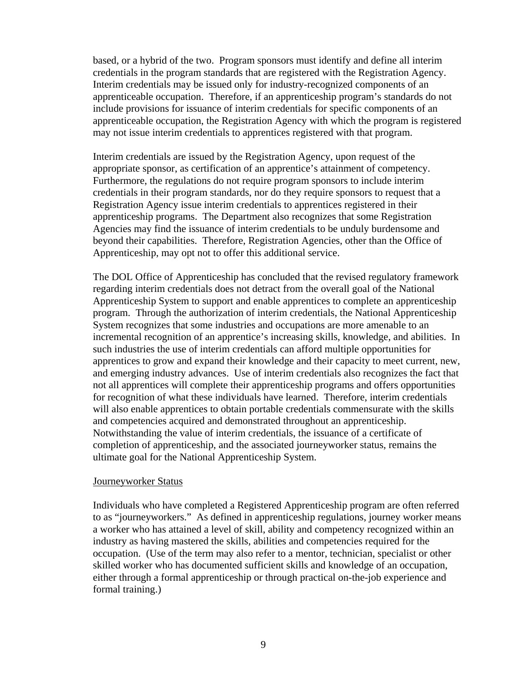based, or a hybrid of the two. Program sponsors must identify and define all interim credentials in the program standards that are registered with the Registration Agency. Interim credentials may be issued only for industry-recognized components of an apprenticeable occupation. Therefore, if an apprenticeship program's standards do not include provisions for issuance of interim credentials for specific components of an apprenticeable occupation, the Registration Agency with which the program is registered may not issue interim credentials to apprentices registered with that program.

Interim credentials are issued by the Registration Agency, upon request of the appropriate sponsor, as certification of an apprentice's attainment of competency. Furthermore, the regulations do not require program sponsors to include interim credentials in their program standards, nor do they require sponsors to request that a Registration Agency issue interim credentials to apprentices registered in their apprenticeship programs. The Department also recognizes that some Registration Agencies may find the issuance of interim credentials to be unduly burdensome and beyond their capabilities. Therefore, Registration Agencies, other than the Office of Apprenticeship, may opt not to offer this additional service.

The DOL Office of Apprenticeship has concluded that the revised regulatory framework regarding interim credentials does not detract from the overall goal of the National Apprenticeship System to support and enable apprentices to complete an apprenticeship program. Through the authorization of interim credentials, the National Apprenticeship System recognizes that some industries and occupations are more amenable to an incremental recognition of an apprentice's increasing skills, knowledge, and abilities. In such industries the use of interim credentials can afford multiple opportunities for apprentices to grow and expand their knowledge and their capacity to meet current, new, and emerging industry advances. Use of interim credentials also recognizes the fact that not all apprentices will complete their apprenticeship programs and offers opportunities for recognition of what these individuals have learned. Therefore, interim credentials will also enable apprentices to obtain portable credentials commensurate with the skills and competencies acquired and demonstrated throughout an apprenticeship. Notwithstanding the value of interim credentials, the issuance of a certificate of completion of apprenticeship, and the associated journeyworker status, remains the ultimate goal for the National Apprenticeship System.

#### Journeyworker Status

Individuals who have completed a Registered Apprenticeship program are often referred to as "journeyworkers." As defined in apprenticeship regulations, journey worker means a worker who has attained a level of skill, ability and competency recognized within an industry as having mastered the skills, abilities and competencies required for the occupation. (Use of the term may also refer to a mentor, technician, specialist or other skilled worker who has documented sufficient skills and knowledge of an occupation, either through a formal apprenticeship or through practical on-the-job experience and formal training.)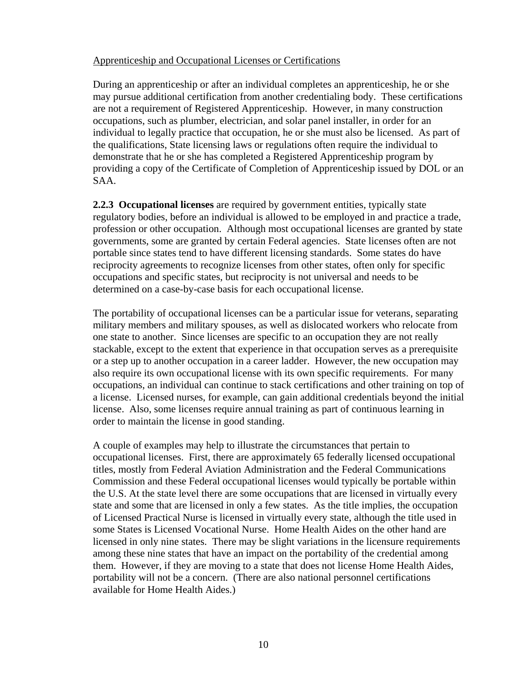#### Apprenticeship and Occupational Licenses or Certifications

During an apprenticeship or after an individual completes an apprenticeship, he or she may pursue additional certification from another credentialing body. These certifications are not a requirement of Registered Apprenticeship. However, in many construction occupations, such as plumber, electrician, and solar panel installer, in order for an individual to legally practice that occupation, he or she must also be licensed. As part of the qualifications, State licensing laws or regulations often require the individual to demonstrate that he or she has completed a Registered Apprenticeship program by providing a copy of the Certificate of Completion of Apprenticeship issued by DOL or an SAA.

**2.2.3 Occupational licenses** are required by government entities, typically state regulatory bodies, before an individual is allowed to be employed in and practice a trade, profession or other occupation. Although most occupational licenses are granted by state governments, some are granted by certain Federal agencies. State licenses often are not portable since states tend to have different licensing standards. Some states do have reciprocity agreements to recognize licenses from other states, often only for specific occupations and specific states, but reciprocity is not universal and needs to be determined on a case-by-case basis for each occupational license.

The portability of occupational licenses can be a particular issue for veterans, separating military members and military spouses, as well as dislocated workers who relocate from one state to another. Since licenses are specific to an occupation they are not really stackable, except to the extent that experience in that occupation serves as a prerequisite or a step up to another occupation in a career ladder. However, the new occupation may also require its own occupational license with its own specific requirements. For many occupations, an individual can continue to stack certifications and other training on top of a license. Licensed nurses, for example, can gain additional credentials beyond the initial license. Also, some licenses require annual training as part of continuous learning in order to maintain the license in good standing.

A couple of examples may help to illustrate the circumstances that pertain to occupational licenses. First, there are approximately 65 federally licensed occupational titles, mostly from Federal Aviation Administration and the Federal Communications Commission and these Federal occupational licenses would typically be portable within the U.S. At the state level there are some occupations that are licensed in virtually every state and some that are licensed in only a few states. As the title implies, the occupation of Licensed Practical Nurse is licensed in virtually every state, although the title used in some States is Licensed Vocational Nurse. Home Health Aides on the other hand are licensed in only nine states. There may be slight variations in the licensure requirements among these nine states that have an impact on the portability of the credential among them. However, if they are moving to a state that does not license Home Health Aides, portability will not be a concern. (There are also national personnel certifications available for Home Health Aides.)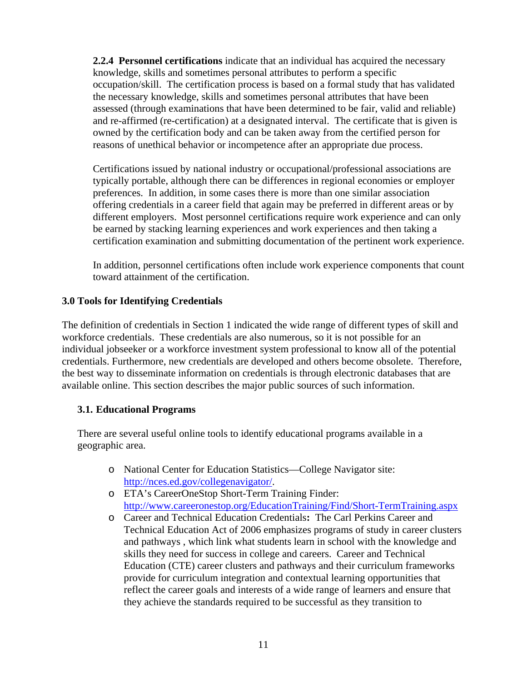**2.2.4 Personnel certifications** indicate that an individual has acquired the necessary knowledge, skills and sometimes personal attributes to perform a specific occupation/skill. The certification process is based on a formal study that has validated the necessary knowledge, skills and sometimes personal attributes that have been assessed (through examinations that have been determined to be fair, valid and reliable) and re-affirmed (re-certification) at a designated interval. The certificate that is given is owned by the certification body and can be taken away from the certified person for reasons of unethical behavior or incompetence after an appropriate due process.

Certifications issued by national industry or occupational/professional associations are typically portable, although there can be differences in regional economies or employer preferences. In addition, in some cases there is more than one similar association offering credentials in a career field that again may be preferred in different areas or by different employers. Most personnel certifications require work experience and can only be earned by stacking learning experiences and work experiences and then taking a certification examination and submitting documentation of the pertinent work experience.

In addition, personnel certifications often include work experience components that count toward attainment of the certification.

## **3.0 Tools for Identifying Credentials**

The definition of credentials in Section 1 indicated the wide range of different types of skill and workforce credentials. These credentials are also numerous, so it is not possible for an individual jobseeker or a workforce investment system professional to know all of the potential credentials. Furthermore, new credentials are developed and others become obsolete. Therefore, the best way to disseminate information on credentials is through electronic databases that are available online. This section describes the major public sources of such information.

### **3.1. Educational Programs**

There are several useful online tools to identify educational programs available in a geographic area.

- o National Center for Education Statistics—College Navigator site: <http://nces.ed.gov/collegenavigator/>.
- o ETA's CareerOneStop Short-Term Training Finder: <http://www.careeronestop.org/EducationTraining/Find/Short-TermTraining.aspx>
- o Career and Technical Education Credentials**:** The Carl Perkins Career and Technical Education Act of 2006 emphasizes programs of study in career clusters and pathways , which link what students learn in school with the knowledge and skills they need for success in college and careers. Career and Technical Education (CTE) career clusters and pathways and their curriculum frameworks provide for curriculum integration and contextual learning opportunities that reflect the career goals and interests of a wide range of learners and ensure that they achieve the standards required to be successful as they transition to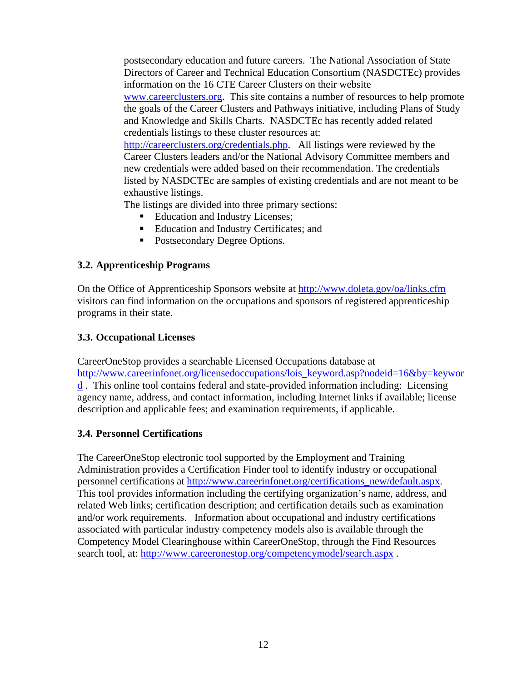postsecondary education and future careers. The National Association of State Directors of Career and Technical Education Consortium (NASDCTEc) provides information on the 16 CTE Career Clusters on their website www.careerclusters.org. This site contains a number of resources to help promote the goals of the Career Clusters and Pathways initiative, including Plans of Study and Knowledge and Skills Charts. NASDCTEc has recently added related credentials listings to these cluster resources at: http://careerclusters.org/credentials.php. All listings were reviewed by the Career Clusters leaders and/or the National Advisory Committee members and new credentials were added based on their recommendation. The credentials listed by NASDCTEc are samples of existing credentials and are not meant to be

exhaustive listings.

The listings are divided into three primary sections:

- Education and Industry Licenses;
- Education and Industry Certificates; and
- Postsecondary Degree Options.

#### **3.2. Apprenticeship Programs**

On the Office of Apprenticeship Sponsors website at <http://www.doleta.gov/oa/links.cfm> visitors can find information on the occupations and sponsors of registered apprenticeship programs in their state.

#### **3.3. Occupational Licenses**

CareerOneStop provides a searchable Licensed Occupations database at [http://www.careerinfonet.org/licensedoccupations/lois\\_keyword.asp?nodeid=16&by=keywor](http://www.careerinfonet.org/licensedoccupations/lois_keyword.asp?nodeid=16&by=keyword) [d](http://www.careerinfonet.org/licensedoccupations/lois_keyword.asp?nodeid=16&by=keyword) . This online tool contains federal and state-provided information including: Licensing agency name, address, and contact information, including Internet links if available; license description and applicable fees; and examination requirements, if applicable.

### **3.4. Personnel Certifications**

The CareerOneStop electronic tool supported by the Employment and Training Administration provides a Certification Finder tool to identify industry or occupational personnel certifications at [http://www.careerinfonet.org/certifications\\_new/default.aspx](http://www.careerinfonet.org/certifications_new/default.aspx). This tool provides information including the certifying organization's name, address, and related Web links; certification description; and certification details such as examination and/or work requirements. Information about occupational and industry certifications associated with particular industry competency models also is available through the Competency Model Clearinghouse within CareerOneStop, through the Find Resources search tool, at: <http://www.careeronestop.org/competencymodel/search.aspx>.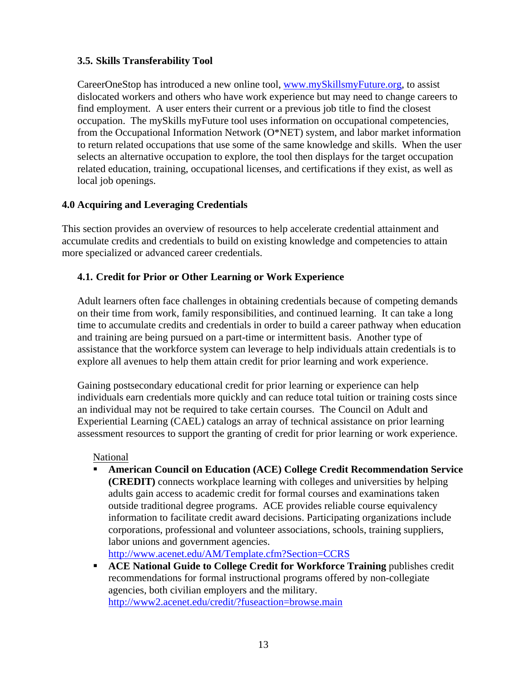## **3.5. Skills Transferability Tool**

CareerOneStop has introduced a new online tool, [www.mySkillsmyFuture.org,](http://www.myskillsmyfuture.org/) to assist dislocated workers and others who have work experience but may need to change careers to find employment. A user enters their current or a previous job title to find the closest occupation. The mySkills myFuture tool uses information on occupational competencies, from the Occupational Information Network (O\*NET) system, and labor market information to return related occupations that use some of the same knowledge and skills. When the user selects an alternative occupation to explore, the tool then displays for the target occupation related education, training, occupational licenses, and certifications if they exist, as well as local job openings.

## **4.0 Acquiring and Leveraging Credentials**

This section provides an overview of resources to help accelerate credential attainment and accumulate credits and credentials to build on existing knowledge and competencies to attain more specialized or advanced career credentials.

# **4.1. Credit for Prior or Other Learning or Work Experience**

Adult learners often face challenges in obtaining credentials because of competing demands on their time from work, family responsibilities, and continued learning. It can take a long time to accumulate credits and credentials in order to build a career pathway when education and training are being pursued on a part-time or intermittent basis. Another type of assistance that the workforce system can leverage to help individuals attain credentials is to explore all avenues to help them attain credit for prior learning and work experience.

Gaining postsecondary educational credit for prior learning or experience can help individuals earn credentials more quickly and can reduce total tuition or training costs since an individual may not be required to take certain courses. The Council on Adult and Experiential Learning (CAEL) catalogs an array of technical assistance on prior learning assessment resources to support the granting of credit for prior learning or work experience.

### National

 **American Council on Education (ACE) [College Credit Recommendation Service](http://www.acenet.edu/AM/Template.cfm?Section=CCRS)  [\(CREDIT\)](http://www.acenet.edu/AM/Template.cfm?Section=CCRS)** connects workplace learning with colleges and universities by helping adults gain access to academic credit for formal courses and examinations taken outside traditional degree programs. ACE provides reliable course equivalency information to facilitate credit award decisions. Participating organizations include corporations, professional and volunteer associations, schools, training suppliers, labor unions and government agencies.

<http://www.acenet.edu/AM/Template.cfm?Section=CCRS>

**ACE National Guide to College Credit for Workforce Training publishes credit** recommendations for formal instructional programs offered by non-collegiate agencies, both civilian employers and the military. <http://www2.acenet.edu/credit/?fuseaction=browse.main>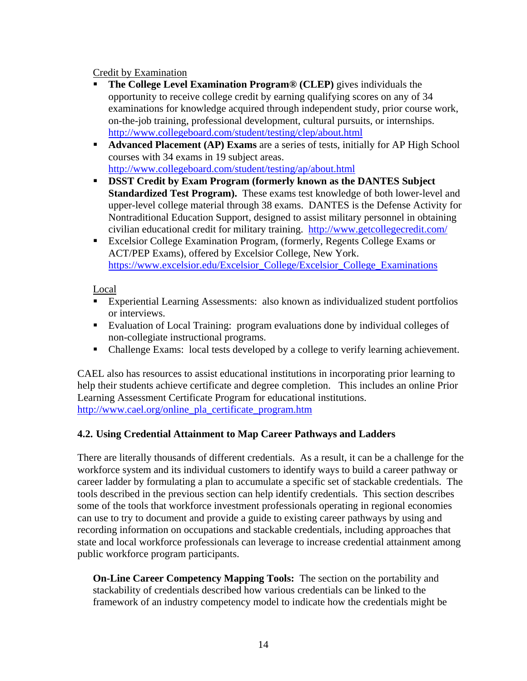### Credit by Examination

- **The [College Level Examination Program](http://www.collegeboard.com/student/testing/clep/about.html)® (CLEP)** gives individuals the opportunity to receive college credit by earning qualifying scores on any of 34 examinations for knowledge acquired through independent study, prior course work, on-the-job training, professional development, cultural pursuits, or internships. <http://www.collegeboard.com/student/testing/clep/about.html>
- **Advanced Placement (AP) Exams** are a series of tests, initially for AP High School courses with 34 exams in 19 subject areas. <http://www.collegeboard.com/student/testing/ap/about.html>
- **DSST Credit by Exam Program (formerly known as the DANTES Subject Standardized Test Program).** These exams test knowledge of both lower-level and upper-level college material through 38 exams. DANTES is the Defense Activity for Nontraditional Education Support, designed to assist military personnel in obtaining civilian educational credit for military training. <http://www.getcollegecredit.com/>
- Excelsior College Examination Program, (formerly, Regents College Exams or ACT/PEP Exams), offered by Excelsior College, New York. [https://www.excelsior.edu/Excelsior\\_College/Excelsior\\_College\\_Examinations](https://www.excelsior.edu/Excelsior_College/Excelsior_College_Examinations)

## Local

- Experiential Learning Assessments: also known as individualized student portfolios or interviews.
- Evaluation of Local Training: program evaluations done by individual colleges of non-collegiate instructional programs.
- Challenge Exams: local tests developed by a college to verify learning achievement.

CAEL also has resources to assist educational institutions in incorporating prior learning to help their students achieve certificate and degree completion. This includes an online Prior Learning Assessment Certificate Program for educational institutions. [http://www.cael.org/online\\_pla\\_certificate\\_program.htm](http://www.cael.org/online_pla_certificate_program.htm) 

# **4.2. Using Credential Attainment to Map Career Pathways and Ladders**

There are literally thousands of different credentials. As a result, it can be a challenge for the workforce system and its individual customers to identify ways to build a career pathway or career ladder by formulating a plan to accumulate a specific set of stackable credentials. The tools described in the previous section can help identify credentials. This section describes some of the tools that workforce investment professionals operating in regional economies can use to try to document and provide a guide to existing career pathways by using and recording information on occupations and stackable credentials, including approaches that state and local workforce professionals can leverage to increase credential attainment among public workforce program participants.

**On-Line Career Competency Mapping Tools:** The section on the portability and stackability of credentials described how various credentials can be linked to the framework of an industry competency model to indicate how the credentials might be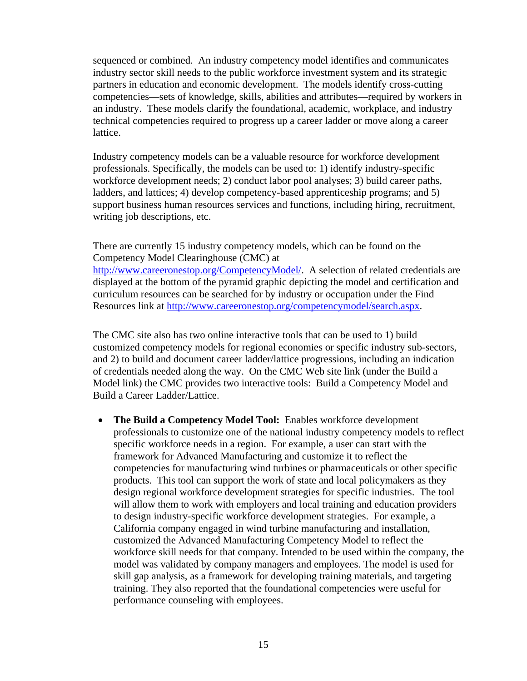sequenced or combined. An industry competency model identifies and communicates industry sector skill needs to the public workforce investment system and its strategic partners in education and economic development. The models identify cross-cutting competencies—sets of knowledge, skills, abilities and attributes—required by workers in an industry. These models clarify the foundational, academic, workplace, and industry technical competencies required to progress up a career ladder or move along a career lattice.

Industry competency models can be a valuable resource for workforce development professionals. Specifically, the models can be used to: 1) identify industry-specific workforce development needs; 2) conduct labor pool analyses; 3) build career paths, ladders, and lattices; 4) develop competency-based apprenticeship programs; and 5) support business human resources services and functions, including hiring, recruitment, writing job descriptions, etc.

There are currently 15 industry competency models, which can be found on the Competency Model Clearinghouse (CMC) at <http://www.careeronestop.org/CompetencyModel/>. A selection of related credentials are displayed at the bottom of the pyramid graphic depicting the model and certification and curriculum resources can be searched for by industry or occupation under the Find Resources link at [http://www.careeronestop.org/competencymodel/search.aspx.](http://www.careeronestop.org/competencymodel/search.aspx)

The CMC site also has two online interactive tools that can be used to 1) build customized competency models for regional economies or specific industry sub-sectors, and 2) to build and document career ladder/lattice progressions, including an indication of credentials needed along the way. On the CMC Web site link (under the Build a Model link) the CMC provides two interactive tools: Build a Competency Model and Build a Career Ladder/Lattice.

 **The Build a Competency Model Tool:** Enables workforce development professionals to customize one of the national industry competency models to reflect specific workforce needs in a region. For example, a user can start with the framework for Advanced Manufacturing and customize it to reflect the competencies for manufacturing wind turbines or pharmaceuticals or other specific products. This tool can support the work of state and local policymakers as they design regional workforce development strategies for specific industries. The tool will allow them to work with employers and local training and education providers to design industry-specific workforce development strategies. For example, a California company engaged in wind turbine manufacturing and installation, customized the Advanced Manufacturing Competency Model to reflect the workforce skill needs for that company. Intended to be used within the company, the model was validated by company managers and employees. The model is used for skill gap analysis, as a framework for developing training materials, and targeting training. They also reported that the foundational competencies were useful for performance counseling with employees.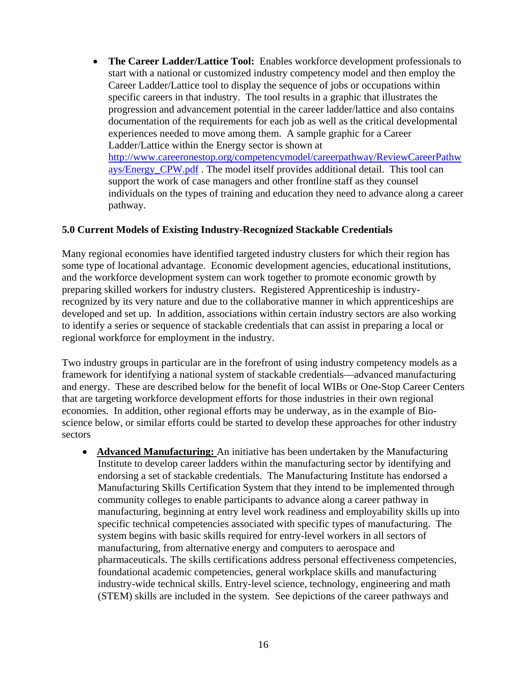**The Career Ladder/Lattice Tool:** Enables workforce development professionals to start with a national or customized industry competency model and then employ the Career Ladder/Lattice tool to display the sequence of jobs or occupations within specific careers in that industry. The tool results in a graphic that illustrates the progression and advancement potential in the career ladder/lattice and also contains documentation of the requirements for each job as well as the critical developmental experiences needed to move among them. A sample graphic for a Career Ladder/Lattice within the Energy sector is shown at [http://www.careeronestop.org/competencymodel/careerpathway/ReviewCareerPathw](http://www.careeronestop.org/competencymodel/careerpathway/ReviewCareerPathways/Energy_CPW.pdf) ays/Energy CPW.pdf. The model itself provides additional detail. This tool can support the work of case managers and other frontline staff as they counsel individuals on the types of training and education they need to advance along a career pathway.

#### **5.0 Current Models of Existing Industry-Recognized Stackable Credentials**

Many regional economies have identified targeted industry clusters for which their region has some type of locational advantage. Economic development agencies, educational institutions, and the workforce development system can work together to promote economic growth by preparing skilled workers for industry clusters. Registered Apprenticeship is industryrecognized by its very nature and due to the collaborative manner in which apprenticeships are developed and set up. In addition, associations within certain industry sectors are also working to identify a series or sequence of stackable credentials that can assist in preparing a local or regional workforce for employment in the industry.

Two industry groups in particular are in the forefront of using industry competency models as a framework for identifying a national system of stackable credentials—advanced manufacturing and energy. These are described below for the benefit of local WIBs or One-Stop Career Centers that are targeting workforce development efforts for those industries in their own regional economies. In addition, other regional efforts may be underway, as in the example of Bioscience below, or similar efforts could be started to develop these approaches for other industry sectors

 **Advanced Manufacturing:** An initiative has been undertaken by the Manufacturing Institute to develop career ladders within the manufacturing sector by identifying and endorsing a set of stackable credentials. The Manufacturing Institute has endorsed a Manufacturing Skills Certification System that they intend to be implemented through community colleges to enable participants to advance along a career pathway in manufacturing, beginning at entry level work readiness and employability skills up into specific technical competencies associated with specific types of manufacturing. The system begins with basic skills required for entry-level workers in all sectors of manufacturing, from alternative energy and computers to aerospace and pharmaceuticals. The skills certifications address personal effectiveness competencies, foundational academic competencies, general workplace skills and manufacturing industry-wide technical skills. Entry-level science, technology, engineering and math (STEM) skills are included in the system. See depictions of the career pathways and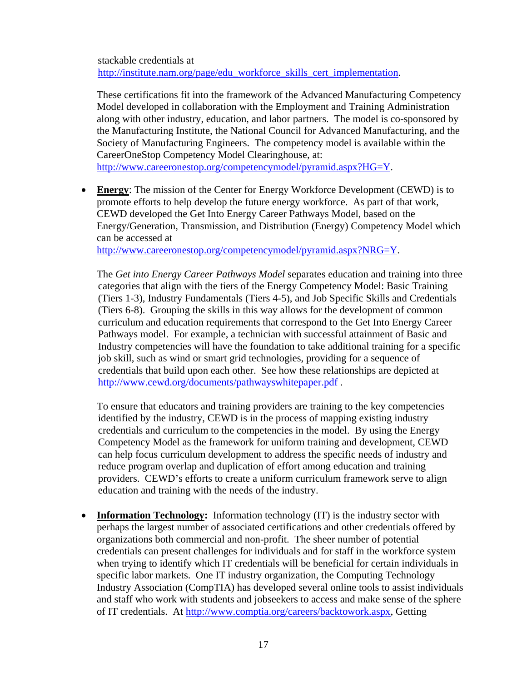stackable credentials at http://institute.nam.org/page/edu\_workforce\_skills\_cert\_implementation.

These certifications fit into the framework of the Advanced Manufacturing Competency Model developed in collaboration with the Employment and Training Administration along with other industry, education, and labor partners. The model is co-sponsored by the Manufacturing Institute, the National Council for Advanced Manufacturing, and the Society of Manufacturing Engineers. The competency model is available within the CareerOneStop Competency Model Clearinghouse, at:

[http://www.careeronestop.org/competencymodel/pyramid.aspx?HG=Y.](http://www.careeronestop.org/competencymodel/pyramid.aspx?HG=Y)

 **Energy**: The mission of the Center for Energy Workforce Development (CEWD) is to promote efforts to help develop the future energy workforce. As part of that work, CEWD developed the Get Into Energy Career Pathways Model, based on the Energy/Generation, Transmission, and Distribution (Energy) Competency Model which can be accessed at

[http://www.careeronestop.org/competencymodel/pyramid.aspx?NRG=Y.](http://www.careeronestop.org/competencymodel/pyramid.aspx?NRG=Y)

The *Get into Energy Career Pathways Model* separates education and training into three categories that align with the tiers of the Energy Competency Model: Basic Training (Tiers 1-3), Industry Fundamentals (Tiers 4-5), and Job Specific Skills and Credentials (Tiers 6-8). Grouping the skills in this way allows for the development of common curriculum and education requirements that correspond to the Get Into Energy Career Pathways model. For example, a technician with successful attainment of Basic and Industry competencies will have the foundation to take additional training for a specific job skill, such as wind or smart grid technologies, providing for a sequence of credentials that build upon each other. See how these relationships are depicted at <http://www.cewd.org/documents/pathwayswhitepaper.pdf>.

To ensure that educators and training providers are training to the key competencies identified by the industry, CEWD is in the process of mapping existing industry credentials and curriculum to the competencies in the model. By using the Energy Competency Model as the framework for uniform training and development, CEWD can help focus curriculum development to address the specific needs of industry and reduce program overlap and duplication of effort among education and training providers. CEWD's efforts to create a uniform curriculum framework serve to align education and training with the needs of the industry.

• **Information Technology:** Information technology (IT) is the industry sector with perhaps the largest number of associated certifications and other credentials offered by organizations both commercial and non-profit. The sheer number of potential credentials can present challenges for individuals and for staff in the workforce system when trying to identify which IT credentials will be beneficial for certain individuals in specific labor markets. One IT industry organization, the Computing Technology Industry Association (CompTIA) has developed several online tools to assist individuals and staff who work with students and jobseekers to access and make sense of the sphere of IT credentials. At [http://www.comptia.org/careers/backtowork.aspx,](http://www.comptia.org/careers/backtowork.aspx) Getting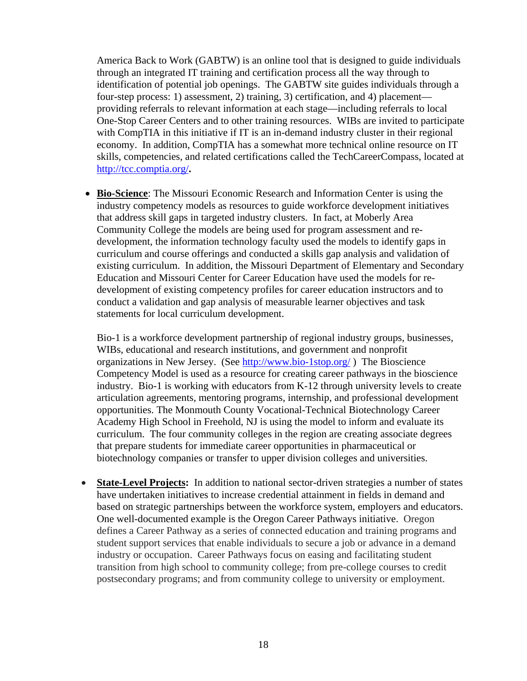America Back to Work (GABTW) is an online tool that is designed to guide individuals through an integrated IT training and certification process all the way through to identification of potential job openings. The GABTW site guides individuals through a four-step process: 1) assessment, 2) training, 3) certification, and 4) placement providing referrals to relevant information at each stage—including referrals to local One-Stop Career Centers and to other training resources. WIBs are invited to participate with CompTIA in this initiative if IT is an in-demand industry cluster in their regional economy. In addition, CompTIA has a somewhat more technical online resource on IT skills, competencies, and related certifications called the TechCareerCompass, located at http://tcc.comptia.org/**.** 

 **Bio-Science**: The Missouri Economic Research and Information Center is using the industry competency models as resources to guide workforce development initiatives that address skill gaps in targeted industry clusters. In fact, at Moberly Area Community College the models are being used for program assessment and redevelopment, the information technology faculty used the models to identify gaps in curriculum and course offerings and conducted a skills gap analysis and validation of existing curriculum. In addition, the Missouri Department of Elementary and Secondary Education and Missouri Center for Career Education have used the models for redevelopment of existing competency profiles for career education instructors and to conduct a validation and gap analysis of measurable learner objectives and task statements for local curriculum development.

Bio-1 is a workforce development partnership of regional industry groups, businesses, WIBs, educational and research institutions, and government and nonprofit organizations in New Jersey. (See <http://www.bio-1stop.org/> ) The Bioscience Competency Model is used as a resource for creating career pathways in the bioscience industry. Bio-1 is working with educators from K-12 through university levels to create articulation agreements, mentoring programs, internship, and professional development opportunities. The Monmouth County Vocational-Technical Biotechnology Career Academy High School in Freehold, NJ is using the model to inform and evaluate its curriculum. The four community colleges in the region are creating associate degrees that prepare students for immediate career opportunities in pharmaceutical or biotechnology companies or transfer to upper division colleges and universities.

 **State-Level Projects:** In addition to national sector-driven strategies a number of states have undertaken initiatives to increase credential attainment in fields in demand and based on strategic partnerships between the workforce system, employers and educators. One well-documented example is the Oregon Career Pathways initiative. Oregon defines a Career Pathway as a series of connected education and training programs and student support services that enable individuals to secure a job or advance in a demand industry or occupation. Career Pathways focus on easing and facilitating student transition from high school to community college; from pre-college courses to credit postsecondary programs; and from community college to university or employment.